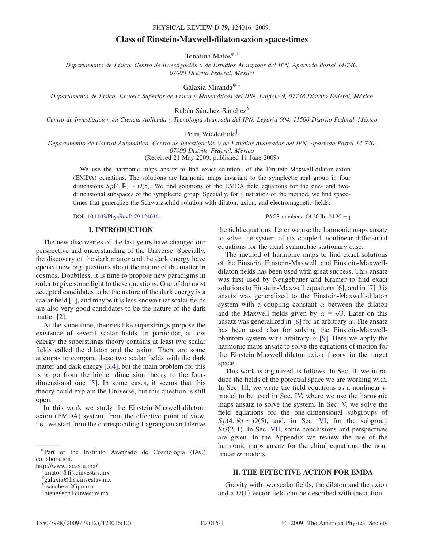### PHYSICAL REVIEW D 79, 124016 (2009)

# Class of Einstein-Maxwell-dilaton-axion space-times

Tonatiuh Matos[\\*,](#page-0-0)[†](#page-0-1)

<span id="page-0-4"></span>Departamento de Física, Centro de Investigación y de Estudios Avanzados del IPN, Apartado Postal 14-740, 07000 Distrito Federal, México

Galaxia Mirand[a\\*](#page-0-0)[,‡](#page-0-2)

<span id="page-0-3"></span>Departamento de Física, Escuela Superior de Física y Matemáticas del IPN, Edificio 9, 07738 Distrito Federal, México

Rubén Sánchez-Sánchez<sup>§</sup>

Centro de Investigacion en Ciencia Aplicada y Tecnologia Avanzada del IPN, Legaria 694, 11500 Distrito Federal, México

Petra Wiederhold<sup>ll</sup>

Departamento de Control Automático, Centro de Investigación y de Estudios Avanzados del IPN, Apartado Postal 14-740, 07000 Distrito Federal, México

(Received 21 May 2009; published 11 June 2009)

We use the harmonic maps ansatz to find exact solutions of the Einstein-Maxwell-dilaton-axion (EMDA) equations. The solutions are harmonic maps invariant to the symplectic real group in four dimensions  $Sp(4, \mathbb{R}) \sim O(5)$ . We find solutions of the EMDA field equations for the one- and twodimensional subspaces of the symplectic group. Specially, for illustration of the method, we find spacetimes that generalize the Schwarzschild solution with dilaton, axion, and electromagnetic fields.

DOI: [10.1103/PhysRevD.79.124016](http://dx.doi.org/10.1103/PhysRevD.79.124016)

### I. INTRODUCTION

The new discoveries of the last years have changed our perspective and understanding of the Universe. Specially, the discovery of the dark matter and the dark energy have opened new big questions about the nature of the matter in cosmos. Doubtless, it is time to propose new paradigms in order to give some light to these questions. One of the most accepted candidates to be the nature of the dark energy is a scalar field [[1](#page-10-0)], and maybe it is less known that scalar fields are also very good candidates to be the nature of the dark matter [\[2\]](#page-10-1).

At the same time, theories like superstrings propose the existence of several scalar fields. In particular, at low energy the superstrings theory contains at least two scalar fields called the dilaton and the axion. There are some attempts to compare these two scalar fields with the dark matter and dark energy [\[3](#page-10-2),[4](#page-10-3)], but the main problem for this is to go from the higher dimension theory to the fourdimensional one [\[5](#page-10-4)]. In some cases, it seems that this theory could explain the Universe, but this question is still open.

In this work we study the Einstein-Maxwell-dilatonaxion (EMDA) system, from the effective point of view, i.e., we start from the corresponding Lagrangian and derive

<span id="page-0-0"></span>[\\*P](#page-0-3)art of the Instituto Avanzado de Cosmología (IAC) collaboration.

http://www.iac.edu.mx/ [†](#page-0-4)

<span id="page-0-1"></span>tmatos@fis.cinvestav.mx

<span id="page-0-2"></span>[‡](#page-0-3) galaxia@fis.cinvestav.mx

 $\frac{1}{n}$ rsanchezs@ipn.mx

k biene@ctrl.cinvestav.mx

the field equations. Later we use the harmonic maps ansatz to solve the system of six coupled, nonlinear differential equations for the axial symmetric stationary case.

PACS numbers: 04.20.Jb, 04.20.-q

The method of harmonic maps to find exact solutions of the Einstein, Einstein-Maxwell, and Einstein-Maxwelldilaton fields has been used with great success. This ansatz was first used by Neugebauer and Kramer to find exact solutions to Einstein-Maxwell equations [[6](#page-11-0)], and in [[7](#page-11-1)] this ansatz was generalized to the Einstein-Maxwell-dilaton system with a coupling constant  $\alpha$  between the dilaton and the Maxwell fields given by  $\alpha = \sqrt{3}$ . Later on this<br>ansatz was generalized in [8] for an arbitrary  $\alpha$ . The ansatz ansatz was generalized in [[8](#page-11-2)] for an arbitrary  $\alpha$ . The ansatz has been used also for solving the Einstein-Maxwellphantom system with arbitrary  $\alpha$  [\[9](#page-11-3)]. Here we apply the harmonic maps ansatz to solve the equations of motion for the Einstein-Maxwell-dilaton-axion theory in the target space.

This work is organized as follows. In Sec. [II](#page-1-0), we introduce the fields of the potential space we are working with. In Sec. [III](#page-2-0), we write the field equations as a nonlinear  $\sigma$ model to be used in Sec. IV, where we use the harmonic maps ansatz to solve the system. In Sec. [V,](#page-3-0) we solve the field equations for the one-dimensional subgroups of  $Sp(4, \mathbb{R}) \sim O(5)$ , and, in Sec. [VI,](#page-6-0) for the subgroup  $SO(2, 1)$ . In Sec. VII, some conclusions and perspectives are given. In the Appendix we review the use of the harmonic maps ansatz for the chiral equations, the nonlinear  $\sigma$  models.

# II. THE EFFECTIVE ACTION FOR EMDA

Gravity with two scalar fields, the dilaton and the axion and a  $U(1)$  vector field can be described with the action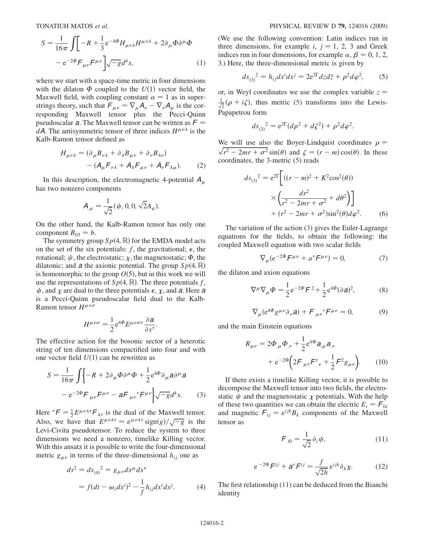$$
S = \frac{1}{16\pi} \int \left[ -R + \frac{1}{3} e^{-4\Phi} H_{\mu\nu\lambda} H^{\mu\nu\lambda} + 2 \partial_{\mu} \Phi \partial^{\mu} \Phi \right]
$$

$$
- e^{-2\Phi} F_{\mu\nu} F^{\mu\nu} \left[ \sqrt{-g} d^4 x, \right] \tag{1}
$$

where we start with a space-time metric in four dimensions with the dilaton  $\Phi$  coupled to the  $U(1)$  vector field, the Maxwell field, with coupling constant  $\alpha = 1$  as in superstrings theory, such that  $F_{\mu\nu} = \nabla_{\mu} A_{\nu} - \nabla_{\nu} A_{\mu}$  is the corresponding Maywell tensor plus, the Pecci-Quinn responding Maxwell tensor plus the Pecci-Quinn pseudoscalar a. The Maxwell tensor can be written as  $F =$ dA. The antisymmetric tensor of three indices  $H^{\mu\nu\lambda}$  is the Kalb-Ramon tensor defined as

$$
H_{\mu\nu\lambda} = (\partial_{\mu}B_{\nu\lambda} + \partial_{\lambda}B_{\mu\nu} + \partial_{\nu}B_{\lambda\nu})
$$

$$
- (A_{\mu}F_{\nu\lambda} + A_{\lambda}F_{\mu\nu} + A_{\nu}F_{\lambda\mu}).
$$
 (2)

<span id="page-1-0"></span>In this description, the electromagnetic 4-potential  $A_\mu$ has two nonzero components

$$
A_{\mu} = \frac{1}{\sqrt{2}} (\psi, 0, 0, \sqrt{2}A_{\varphi}).
$$

On the other hand, the Kalb-Ramon tensor has only one component  $B_{03} = b$ .

The symmetry group  $Sp(4, \mathbb{R})$  for the EMDA model acts on the set of the six potentials: f, the gravitational;  $\epsilon$ , the rotational;  $\psi$ , the electrostatic;  $\chi$ , the magnetostatic;  $\Phi$ , the dilatonic; and a the axionic potential. The group  $Sp(4, \mathbb{R})$ is homomorphic to the group  $O(5)$ , but in this work we will use the representations of  $Sp(4, \mathbb{R})$ . The three potentials f,  $\psi$ , and  $\chi$  are dual to the three potentials  $\epsilon$ ,  $\chi$ , and  $\alpha$ . Here  $\alpha$ is a Pecci-Quinn pseudoscalar field dual to the Kalb-Ramon tensor  $H^{\mu\nu\sigma}$ 

$$
H^{\mu\nu\sigma} = \frac{1}{2} e^{4\Phi} E^{\mu\nu\sigma\tau} \frac{\partial \mathbf{a}}{\partial x^{\tau}}.
$$

<span id="page-1-2"></span>The effective action for the bosonic sector of a heterotic string of ten dimensions compactified into four and with one vector field  $U(1)$  can be rewritten as

$$
S = \frac{1}{16\pi} \int \left\{ -R + 2\partial_{\mu}\Phi \partial^{\mu}\Phi + \frac{1}{2} e^{4\Phi} \partial_{\mu} a \partial^{\mu} a \right\}
$$

$$
- e^{-2\Phi} F_{\mu\nu} F^{\mu\nu} - a F_{\mu\nu}{}^* F^{\mu\nu} \right\} \sqrt{-g} d^4 x. \tag{3}
$$

Here  ${}^*F = \frac{1}{2} E^{\mu\nu\lambda\tau} F_{\lambda\tau}$  is the dual of the Maxwell tensor.<br>Also, we have that  $F^{\mu\nu\lambda\tau} = e^{\mu\nu\lambda\tau} \sin(\alpha) / \sqrt{-a}$  is the Here  $F = \frac{1}{2} E^{\mu\nu\lambda\tau} \lambda_{\tau}$  is the dual of the Maxwell tensor.<br>Also, we have that  $E^{\mu\nu\lambda\tau} = \varepsilon^{\mu\nu\lambda\tau} \text{sign}(g)/\sqrt{-g}$  is the Levi-Civita pseudotensor. To reduce the system to three dimensions we need a nonzero, timelike Killing vector. With this ansatz it is possible to write the four-dimensional metric  $g_{\mu\nu}$  in terms of the three-dimensional  $h_{ij}$  one as

<span id="page-1-4"></span>
$$
ds^{2} = ds_{(4)}^{2} = g_{\mu\nu}dx^{\mu}dx^{\nu}
$$
  
=  $f(dt - \omega_{i}dx^{i})^{2} - \frac{1}{f}h_{ij}dx^{i}dx^{j}.$  (4)

(We use the following convention: Latin indices run in three dimensions, for example *i*,  $j = 1, 2, 3$  and Greek indices run in four dimensions, for example  $\alpha$ ,  $\beta = 0, 1, 2$ , 3.) Here, the three-dimensional metric is given by

<span id="page-1-1"></span>
$$
ds_{(3)}^{2} = h_{ij}dx^{i}dx^{j} = 2e^{2\Gamma}dzd\bar{z} + \rho^{2}d\varphi^{2},
$$
 (5)

or, in Weyl coordinates we use the complex variable  $z =$  $\frac{1}{\sqrt{2}}(\rho + i\zeta)$ , thus metric ([5\)](#page-1-1) transforms into the Lewis-Papapetrou form

$$
ds_{(3)}^{2} = e^{2\Gamma}(d\rho^{2} + d\zeta^{2}) + \rho^{2}d\varphi^{2}.
$$

We will use also the Boyer-Lindquist coordinates  $\rho = \sqrt{r^2 - 2mr + \sigma^2} \sin(\theta)$  and  $\zeta = (r - m) \cos(\theta)$ . In these  $\sqrt{r^2 - 2mr + \sigma^2} \sin(\theta)$  and  $\zeta = (r - m)\cos(\theta)$ . In these coordinates the 3-metric (5) reads coordinates, the 3-metric ([5](#page-1-1)) reads

$$
ds_{(3)}^{2} = e^{2\Gamma} \left[ ((r - m)^{2} + K^{2} \cos^{2}(\theta)) \times \left( \frac{dr^{2}}{r^{2} - 2mr + \sigma^{2}} + d\theta^{2} \right) \right] + (r^{2} - 2mr + \sigma^{2}) \sin^{2}(\theta) d\varphi^{2}.
$$
 (6)

<span id="page-1-5"></span>The variation of the action ([3](#page-1-2)) gives the Euler-Lagrange equations for the fields, to obtain the following: the coupled Maxwell equation with two scalar fields

$$
\nabla_{\mu} (e^{-2\Phi} F^{\mu\nu} + a^* F^{\mu\nu}) = 0,
$$
 (7)

the dilaton and axion equations

$$
\nabla^{\mu}\nabla_{\mu}\Phi = \frac{1}{2}e^{-2\Phi}F^2 + \frac{1}{2}e^{4\Phi}(\partial a)^2,
$$
 (8)

$$
\nabla_{\mu} (e^{4\Phi} g^{\mu\nu} \partial_{\nu} \mathbf{a}) + \mathbf{F}_{\mu\nu} {}^* \mathbf{F}^{\mu\nu} = 0, \tag{9}
$$

<span id="page-1-6"></span>and the main Einstein equations

$$
R_{\mu\nu} = 2\Phi_{,\mu}\Phi_{,\nu} + \frac{1}{2}e^{4\Phi}a_{,\mu}a_{,\nu} + e^{-2\Phi}\left(2F_{\mu\tau}F^{\tau}{}_{\nu} + \frac{1}{2}F^{2}g_{\mu\nu}\right)
$$
 (10)

If there exists a timelike Killing vector, it is possible to decompose the Maxwell tensor into two fields, the electrostatic  $\psi$  and the magnetostatic  $\chi$  potentials. With the help of these two quantities we can obtain the electric  $E_i = F_{0i}$ <br>and magnetic  $F_{i,j} = \epsilon^{ijk} R_j$  components of the Maxwell and magnetic  $F_{ij} = \varepsilon^{ijk}B_k$  components of the Maxwell<br>tensor as tensor as

$$
\mathcal{F}_{i0} = \frac{1}{\sqrt{2}} \partial_i \psi, \tag{11}
$$

$$
e^{-2\Phi}F^{ij} + a^*F^{ij} = \frac{f}{\sqrt{2h}}e^{ijk}\partial_k\chi.
$$
 (12)

<span id="page-1-3"></span>The first relationship [\(11\)](#page-1-3) can be deduced from the Bianchi identity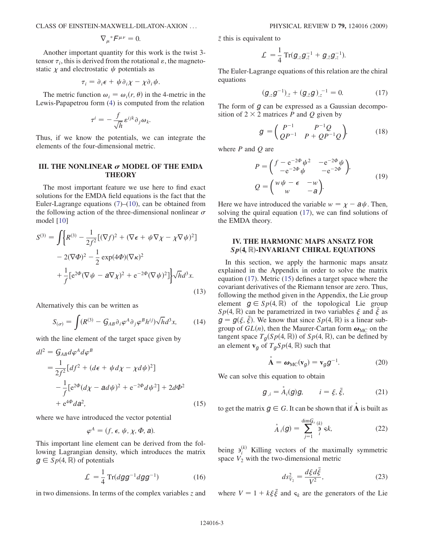$$
\nabla_{\mu}^* F^{\mu\nu} = 0.
$$

Another important quantity for this work is the twist 3 tensor  $\tau_i$ , this is derived from the rotational  $\varepsilon$ , the magnetostatic  $\chi$  and electrostatic  $\psi$  potentials as

$$
\tau_i = \partial_i \epsilon + \psi \partial_i \chi - \chi \partial_i \psi.
$$

The metric function  $\omega_i = \omega_i(r, \theta)$  in the 4-metric in the Lewis-Papapetrou form ([4\)](#page-1-4) is computed from the relation

$$
\tau^{i} = -\frac{f}{\sqrt{h}} \varepsilon^{ijk} \partial_j \omega_k.
$$

Thus, if we know the potentials, we can integrate the elements of the four-dimensional metric.

## III. THE NONLINEAR  $\sigma$  model of the emda **THEORY**

The most important feature we use here to find exact solutions for the EMDA field equations is the fact that the Euler-Lagrange equations  $(7)$  $(7)$ – $(10)$  $(10)$  $(10)$ , can be obtained from the following action of the three-dimensional nonlinear  $\sigma$ model [[10](#page-11-4)]

$$
S^{(3)} = \int \Big\{ R^{(3)} - \frac{1}{2f^2} \big[ (\nabla f)^2 + (\nabla \epsilon + \psi \nabla \chi - \chi \nabla \psi)^2 \big] - 2(\nabla \Phi)^2 - \frac{1}{2} \exp(4\Phi)(\nabla \kappa)^2 + \frac{1}{f} \big[ e^{2\Phi} (\nabla \psi - a\nabla \chi)^2 + e^{-2\Phi} (\nabla \psi)^2 \big] \Big\} \sqrt{h} d^3 x.
$$
\n(13)

Alternatively this can be written as

$$
S_{(\sigma)} = \int (R^{(3)} - G_{AB} \partial_i \varphi^A \partial_j \varphi^B h^{ij}) \sqrt{h} d^3 x, \qquad (14)
$$

<span id="page-2-2"></span>with the line element of the target space given by

$$
dl^{2} = G_{AB}d\varphi^{A}d\varphi^{B}
$$
  
=  $\frac{1}{2f^{2}}[df^{2} + (d\epsilon + \psi d\chi - \chi d\psi)^{2}]$   
 $-\frac{1}{f}[e^{2\Phi}(d\chi - ad\psi)^{2} + e^{-2\Phi}d\psi^{2}] + 2d\Phi^{2}$   
+  $e^{4\Phi}da^{2}$ , (15)

<span id="page-2-0"></span>where we have introduced the vector potential

$$
\varphi^A=(f,\,\epsilon,\,\psi,\,\chi,\Phi,\,a).
$$

This important line element can be derived from the following Lagrangian density, which introduces the matrix  $g \in Sp(4, \mathbb{R})$  of potentials

$$
\mathcal{L} = \frac{1}{4} \operatorname{Tr} (dgg^{-1} dgg^{-1}) \tag{16}
$$

in two dimensions. In terms of the complex variables  $\zeta$  and

 $\bar{z}$  this is equivalent to

$$
\mathcal{L} = \frac{1}{4} \operatorname{Tr}(\boldsymbol{g}_{,z} \boldsymbol{g}_{,\bar{z}}^{-1} + \boldsymbol{g}_{,\bar{z}} \boldsymbol{g}_{,z}^{-1}).
$$

<span id="page-2-1"></span>The Euler-Lagrange equations of this relation are the chiral equations

$$
(\mathbf{g}_{z}\mathbf{g}^{-1})_{\bar{z}} + (\mathbf{g}_{\bar{z}}\mathbf{g})_{z}^{-1} = 0. \tag{17}
$$

<span id="page-2-4"></span>The form of  $g$  can be expressed as a Gaussian decomposition of  $2 \times 2$  matrices P and Q given by

$$
g = \begin{pmatrix} P^{-1} & P^{-1}Q \\ QP^{-1} & P + QP^{-1}Q \end{pmatrix},
$$
 (18)

<span id="page-2-5"></span>where  $P$  and  $Q$  are

$$
P = \begin{pmatrix} f - e^{-2\Phi} \psi^2 & -e^{-2\Phi} \psi \\ -e^{-2\Phi} \psi & -e^{-2\Phi} \end{pmatrix},
$$
  
\n
$$
Q = \begin{pmatrix} w\psi - \epsilon & -w \\ w & -a \end{pmatrix}.
$$
 (19)

Here we have introduced the variable  $w = \chi - a\psi$ . Then,<br>solving the quiral equation (17), we can find solutions of solving the quiral equation ([17](#page-2-1)), we can find solutions of the EMDA theory.

## IV. THE HARMONIC MAPS ANSATZ FOR  $Sp(4, \mathbb{R})$ -INVARIANT CHIRAL EQUATIONS

In this section, we apply the harmonic maps ansatz explained in the Appendix in order to solve the matrix equation [\(17\)](#page-2-1). Metric ([15](#page-2-2)) defines a target space where the covariant derivatives of the Riemann tensor are zero. Thus, following the method given in the Appendix, the Lie group element  $g \in Sp(4, \mathbb{R})$  of the topological Lie group  $Sp(4, \mathbb{R})$  can be parametrized in two variables  $\xi$  and  $\bar{\xi}$  as  $\sigma = \sigma(\xi, \bar{\xi})$ . We know that since  $Sp(4, \mathbb{R})$  is a linear sub $g = g(\xi, \bar{\xi})$ . We know that since  $Sp(4, \mathbb{R})$  is a linear sub-<br>group of  $GL(n)$  then the Maurer-Cartan form  $g_{\text{MGP}}$  on the group of  $GL(n)$ , then the Maurer-Cartan form  $\omega_{MC}$  on the tangent space  $T_{\sigma}(Sp(4, \mathbb{R}))$  of  $Sp(4, \mathbb{R})$ , can be defined by an element  $\mathbf{v}_q$  of  $T_qSp(4, \mathbb{R})$  such that

$$
\mathbf{A} = \boldsymbol{\omega}_{\mathrm{MC}}(\mathbf{v}_g) = \mathbf{v}_g g^{-1}.
$$
 (20)

<span id="page-2-3"></span>We can solve this equation to obtain

$$
g_{,i} = A_i(g)g, \qquad i = \xi, \bar{\xi}, \qquad (21)
$$

to get the matrix  $g \in G$ . It can be shown that if **A** is built as

$$
\stackrel{\circ}{A}_i(g) = \sum_{j=1}^{\dim G_s} \stackrel{(k)}{\stackrel{\circ}{\rightarrow}} \varsigma k,\tag{22}
$$

<span id="page-2-6"></span>being  $a_i^{(k)}$  Killing vectors of the maximally symmetric space  $V_2$  with the two-dimensional metric

$$
ds_{V_2}^2 = \frac{d\xi d\bar{\xi}}{V^2},\tag{23}
$$

where  $V = 1 + k \xi \bar{\xi}$  and  $s_k$  are the generators of the Lie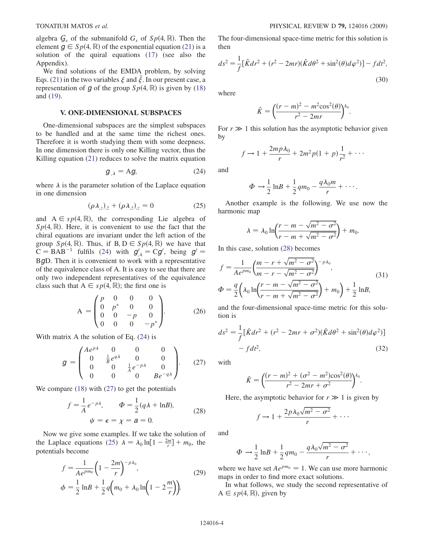algebra  $G_s$  of the submanifold  $G_s$  of  $Sp(4, \mathbb{R})$ . Then the element  $g \in Sp(4, \mathbb{R})$  of the exponential equation ([21](#page-2-3)) is a solution of the quiral equations ([17](#page-2-1)) (see also the Appendix).

We find solutions of the EMDA problem, by solving Eqs. ([21](#page-2-3)) in the two variables  $\xi$  and  $\overline{\xi}$ . In our present case, a representation of g of the group  $Sp(4, \mathbb{R})$  is given by [\(18\)](#page-2-4) and ([19](#page-2-5)).

### V. ONE-DIMENSIONAL SUBSPACES

One-dimensional subspaces are the simplest subspaces to be handled and at the same time the richest ones. Therefore it is worth studying them with some deepness. In one dimension there is only one Killing vector, thus the Killing equation [\(21\)](#page-2-3) reduces to solve the matrix equation

$$
g_{,\lambda} = Ag,\tag{24}
$$

<span id="page-3-3"></span><span id="page-3-1"></span>where  $\lambda$  is the parameter solution of the Laplace equation in one dimension

$$
(\rho \lambda_{,z})_{,\bar{z}} + (\rho \lambda_{,\bar{z}})_{,z} = 0 \tag{25}
$$

and  $A \in sp(4, \mathbb{R})$ , the corresponding Lie algebra of  $Sp(4, \mathbb{R})$ . Here, it is convenient to use the fact that the chiral equations are invariant under the left action of the group  $Sp(4, \mathbb{R})$ . Thus, if B,  $D \in Sp(4, \mathbb{R})$  we have that  $C = \text{BAR}^{-1}$  fulfils (24) with  $\sigma' = C\sigma'$  being  $\sigma' =$  $C = BAB^{-1}$  fulfils ([24](#page-3-1)) with  $g'_{\lambda} = Cg'$ , being  $g' = BgD$ . Then it is convenient to work with a representative <sup>B</sup>gD. Then it is convenient to work with a representative of the equivalence class of A. It is easy to see that there are only two independent representatives of the equivalence class such that  $A \in sp(4, \mathbb{R})$ ; the first one is

<span id="page-3-5"></span>
$$
A = \begin{pmatrix} p & 0 & 0 & 0 \\ 0 & p^* & 0 & 0 \\ 0 & 0 & -p & 0 \\ 0 & 0 & 0 & -p^* \end{pmatrix}.
$$
 (26)

<span id="page-3-2"></span>With matrix A the solution of Eq. ([24](#page-3-1)) is

$$
g = \begin{pmatrix} Ae^{p\lambda} & 0 & 0 & 0\\ 0 & \frac{1}{B}e^{q\lambda} & 0 & 0\\ 0 & 0 & \frac{1}{A}e^{-p\lambda} & 0\\ 0 & 0 & 0 & Be^{-q\lambda} \end{pmatrix}.
$$
 (27)

<span id="page-3-4"></span>We compare [\(18\)](#page-2-4) with ([27](#page-3-2)) to get the potentials

$$
f = \frac{1}{A}e^{-p\lambda}, \qquad \Phi = \frac{1}{2}(q\lambda + \ln B),
$$
  

$$
\psi = \epsilon = \chi = a = 0.
$$
 (28)

Now we give some examples. If we take the solution of the Laplace equations [\(25\)](#page-3-3)  $\lambda = \lambda_0 \ln[1 - \frac{2m}{r}] + m_0$ , the potentials become

$$
f = \frac{1}{A e^{pm_0}} \left( 1 - \frac{2m}{r} \right)^{-p\lambda_0},
$$
  
\n
$$
\phi = \frac{1}{2} \ln B + \frac{1}{2} q \left( m_0 + \lambda_0 \ln \left( 1 - 2 \frac{m}{r} \right) \right).
$$
\n(29)

The four-dimensional space-time metric for this solution is then

$$
ds^{2} = \frac{1}{f} [\hat{K} dr^{2} + (r^{2} - 2mr)(\hat{K} d\theta^{2} + \sin^{2}(\theta) d\varphi^{2})] - f dt^{2},
$$
\n(30)

<span id="page-3-0"></span>where

$$
\hat{K} = \left(\frac{(r-m)^2 - m^2 \cos^2(\theta)}{r^2 - 2mr}\right)^{k_0}.
$$

For  $r \gg 1$  this solution has the asymptotic behavior given by by

$$
f \rightarrow 1 + \frac{2mp\lambda_0}{r} + 2m^2p(1+p)\frac{1}{r^2} + \cdots
$$

and

$$
\Phi \rightarrow \frac{1}{2} \ln B + \frac{1}{2} q m_0 - \frac{q \lambda_0 m}{r} + \cdots
$$

Another example is the following. We use now the harmonic map

$$
\lambda = \lambda_0 \ln \left( \frac{r - m - \sqrt{m^2 - \sigma^2}}{r - m + \sqrt{m^2 - \sigma^2}} \right) + m_0.
$$

In this case, solution ([28](#page-3-4)) becomes

$$
f = \frac{1}{Ae^{pm_0}} \left( \frac{m - r + \sqrt{m^2 - \sigma^2}}{m - r - \sqrt{m^2 - \sigma^2}} \right)^{-p\lambda_0},
$$
  
\n
$$
\Phi = \frac{q}{2} \left( \lambda_0 \ln \left( \frac{r - m - \sqrt{m^2 - \sigma^2}}{r - m + \sqrt{m^2 - \sigma^2}} \right) + m_0 \right) + \frac{1}{2} \ln B,
$$
\n(31)

and the four-dimensional space-time metric for this solution is

$$
ds^{2} = \frac{1}{f} [\hat{K} dr^{2} + (r^{2} - 2mr + \sigma^{2}) (\hat{K} d\theta^{2} + \sin^{2}(\theta) d\varphi^{2})] - f dt^{2},
$$
\n(32)

with

$$
\hat{K} = \left(\frac{(r-m)^2 + (\sigma^2 - m^2)\cos^2(\theta)}{r^2 - 2mr + \sigma^2}\right)^{k_0}.
$$

Here, the asymptotic behavior for  $r \gg 1$  is given by

$$
f \to 1 + \frac{2p\lambda_0\sqrt{m^2 - \sigma^2}}{r} + \cdots
$$

and

$$
\Phi \rightarrow \frac{1}{2} \ln B + \frac{1}{2} q m_0 - \frac{q \lambda_0 \sqrt{m^2 - \sigma^2}}{r} + \cdots,
$$

where we have set  $Ae^{pm_0} = 1$ . We can use more harmonic maps in order to find more exact solutions.

In what follows, we study the second representative of  $A \in sp(4, \mathbb{R})$ , given by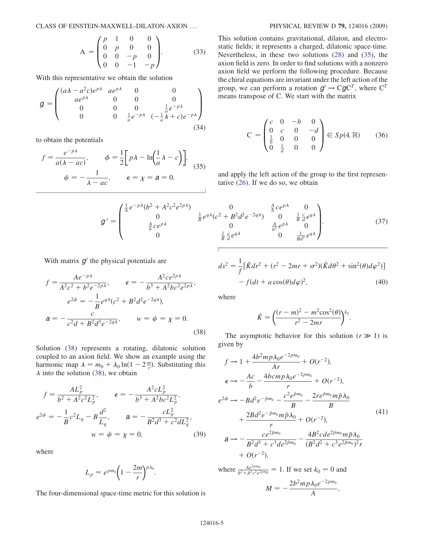$$
A = \begin{pmatrix} p & 1 & 0 & 0 \\ 0 & p & 0 & 0 \\ 0 & 0 & -p & 0 \\ 0 & 0 & -1 & -p \end{pmatrix}.
$$
 (33)

<span id="page-4-3"></span>With this representative we obtain the solution

$$
g = \begin{pmatrix} (a\lambda - a^{2}c)e^{p\lambda} & a e^{p\lambda} & 0 & 0 \\ a e^{p\lambda} & 0 & 0 & 0 \\ 0 & 0 & 0 & \frac{1}{a}e^{-p\lambda} \\ 0 & 0 & \frac{1}{a}e^{-p\lambda} & (-\frac{1}{a}\lambda + c)e^{-p\lambda} \end{pmatrix}
$$
(34)

<span id="page-4-0"></span>to obtain the potentials

$$
f = \frac{e^{-p\lambda}}{a(\lambda - ac)}, \qquad \phi = \frac{1}{2} \left[ p\lambda - \ln\left(\frac{1}{a}\lambda - c\right) \right],
$$
  

$$
\psi = -\frac{1}{\lambda - ac}, \qquad \epsilon = \chi = a = 0.
$$
 (35)

This solution contains gravitational, dilaton, and electrostatic fields; it represents a charged, dilatonic space-time. Nevertheless, in these two solutions [\(28\)](#page-3-4) and ([35](#page-4-0)), the axion field is zero. In order to find solutions with a nonzero axion field we perform the following procedure. Because the chiral equations are invariant under the left action of the group, we can perform a rotation  $g' \rightarrow CgC^{T}$ , where  $C^{T}$ means transpose of C. We start with the matrix

$$
C = \begin{pmatrix} c & 0 & -b & 0 \\ 0 & c & 0 & -d \\ \frac{1}{b} & 0 & 0 & 0 \\ 0 & \frac{1}{d} & 0 & 0 \end{pmatrix} \in Sp(4, \mathbb{R}) \qquad (36)
$$

and apply the left action of the group to the first representative ([26](#page-3-5)). If we do so, we obtain

$$
g' = \begin{pmatrix} \frac{1}{A}e^{-p\lambda}(b^2 + A^2c^2e^{2p\lambda}) & 0 & \frac{A}{b}ce^{p\lambda} & 0\\ 0 & \frac{1}{B}e^{q\lambda}(c^2 + B^2d^2e^{-2q\lambda}) & 0 & \frac{1}{B}\frac{c}{d}e^{q\lambda} \\ \frac{A}{b}ce^{p\lambda} & 0 & \frac{A}{b^2}e^{p\lambda} & 0\\ 0 & \frac{1}{B}\frac{c}{d}e^{q\lambda} & 0 & \frac{1}{Bd^2}e^{q\lambda} \end{pmatrix}.
$$
 (37)

<span id="page-4-1"></span>With matrix  $g'$  the physical potentials are

$$
f = \frac{Ae^{-p\lambda}}{A^2c^2 + b^2e^{-2p\lambda}}, \qquad \epsilon = -\frac{A^2ce^{2p\lambda}}{b^3 + A^2bc^2e^{2p\lambda}},
$$

$$
e^{2\phi} = -\frac{1}{B}e^{q\lambda}(c^2 + B^2d^2e^{-2q\lambda}),
$$

$$
a = -\frac{c}{c^2d + B^2d^3e^{-2q\lambda}}, \qquad w = \psi = \chi = 0.
$$
(38)

<span id="page-4-2"></span>Solution [\(38\)](#page-4-1) represents a rotating, dilatonic solution coupled to an axion field. We show an example using the harmonic map  $\lambda = m_0 + \lambda_0 \ln(1 - 2\frac{m}{r})$ . Substituting this  $\lambda$  into the solution (38) we obtain  $\lambda$  into the solution ([38](#page-4-1)), we obtain

$$
f = \frac{AL_p^2}{b^2 + A^2 c^2 L_p^2}, \qquad \epsilon = -\frac{A^2 c L_p^2}{b^3 + A^2 b c^2 L_p^2},
$$
  

$$
e^{2\phi} = -\frac{1}{B} c^2 L_q - B \frac{d^2}{L_q}, \qquad a = -\frac{c L_q^2}{B^2 d^3 + c^2 d L_q^2},
$$
  

$$
w = \psi = \chi = 0,
$$
 (39)

where

$$
L_p = e^{pm_0} \bigg( 1 - \frac{2m}{r} \bigg)^{p\lambda_0}.
$$

The four-dimensional space-time metric for this solution is

$$
ds^{2} = \frac{1}{f} [\hat{K} dr^{2} + (r^{2} - 2mr + \sigma^{2}) (\hat{K} d\theta^{2} + \sin^{2}(\theta) d\varphi^{2})] - f (dt + a \cos(\theta) d\varphi)^{2},
$$
\n(40)

where

$$
\hat{K} = \left(\frac{(r-m)^2 - m^2 \cos^2(\theta)}{r^2 - 2mr}\right)^{k_0}.
$$

The asymptotic behavior for this solution  $(r \gg 1)$  is given by

$$
f \rightarrow 1 + \frac{4b^2mp\lambda_0e^{-2pm_0}}{Ar} + O(r^{-2}),
$$
  
\n
$$
\epsilon \rightarrow -\frac{Ac}{b} - \frac{4bcmp\lambda_0e^{-2pm_0}}{r} + O(r^{-2}),
$$
  
\n
$$
e^{2\phi} \rightarrow -Bd^2e^{-\bar{p}m_0} - \frac{c^2e^{\bar{p}m_0}}{B} - \frac{2re^{\bar{p}m_0}m\bar{p}\lambda_0}{B}
$$
  
\n
$$
+ \frac{2Bd^2e^{-\bar{p}m_0}m\bar{p}\lambda_0}{r} + O(r^{-2}),
$$
  
\n
$$
a \rightarrow -\frac{ce^{2\bar{p}m_0}}{B} - \frac{4B^2cde^{2\bar{p}m_0}m\bar{p}\lambda_0}{(B^2d^2 + c^3e^{2\bar{p}m_0})^2r}
$$
  
\n
$$
+ O(r^{-2}),
$$
  
\nwhere  $\frac{Ae^{2pm_0}}{B^2d^3 + c^3de^{2pm_0}} = 1$ . If we set  $k_0 = 0$  and

ere 
$$
\frac{Ae^{2pm}0}{b^2 + A^2c^2e^{2pm}0} = 1
$$
. If we set  $k_0 = 0$  and  

$$
M = -\frac{2b^2mp\lambda_0e^{-2pm}0}{A},
$$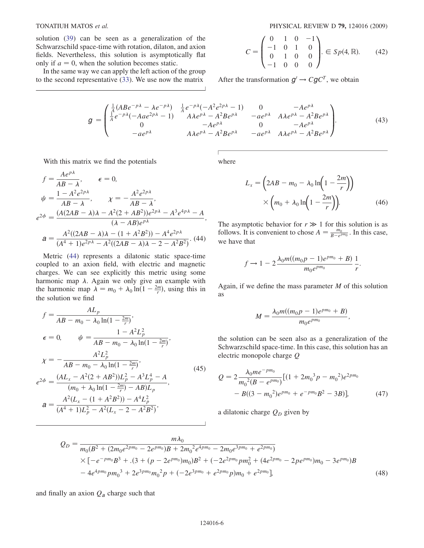solution [\(39\)](#page-4-2) can be seen as a generalization of the Schwarzschild space-time with rotation, dilaton, and axion fields. Nevertheless, this solution is asymptotically flat only if  $a = 0$ , when the solution becomes static.

In the same way we can apply the left action of the group to the second representative [\(33\)](#page-4-3). We use now the matrix

$$
C = \begin{pmatrix} 0 & 1 & 0 & -1 \\ -1 & 0 & 1 & 0 \\ 0 & 1 & 0 & 0 \\ -1 & 0 & 0 & 0 \end{pmatrix} \in Sp(4, \mathbb{R}).
$$
 (42)

After the transformation  $g' \rightarrow CgC^{T}$ , we obtain

$$
g = \begin{pmatrix} \frac{1}{A} (ABe^{-p\lambda} - \lambda e^{-p\lambda}) & \frac{1}{A} e^{-p\lambda} (-A^2 e^{2p\lambda} - 1) & 0 & -Ae^{p\lambda} \\ \frac{1}{A} e^{-p\lambda} (-Aae^{2p\lambda} - 1) & A\lambda e^{p\lambda} - A^2 Be^{p\lambda} & -ae^{p\lambda} & A\lambda e^{p\lambda} - A^2 Be^{p\lambda} \\ 0 & -Ae^{p\lambda} & 0 & -Ae^{p\lambda} \\ -ae^{p\lambda} & A\lambda e^{p\lambda} - A^2 Be^{p\lambda} & -ae^{p\lambda} & A\lambda e^{p\lambda} - A^2 Be^{p\lambda} \end{pmatrix}.
$$
 (43)

<span id="page-5-0"></span>With this matrix we find the potentials

$$
f = \frac{Ae^{p\lambda}}{AB - \lambda}, \quad \epsilon = 0,
$$
  
\n
$$
\psi = \frac{1 - A^2 e^{2p\lambda}}{AB - \lambda}, \quad \chi = -\frac{A^2 e^{2p\lambda}}{AB - \lambda},
$$
  
\n
$$
e^{2\phi} = \frac{(A(2AB - \lambda)\lambda - A^2(2 + AB^2))e^{2p\lambda} - A^3e^{4p\lambda} - A}{(\lambda - AB)e^{p\lambda}},
$$
  
\n
$$
a = \frac{A^2((2AB - \lambda)\lambda - (1 + A^2B^2)) - A^4e^{2p\lambda}}{(A^4 + 1)e^{2p\lambda} - A^2((2AB - \lambda)\lambda - 2 - A^2B^2)}.
$$
(44)

Metric [\(44\)](#page-5-0) represents a dilatonic static space-time coupled to an axion field, with electric and magnetic charges. We can see explicitly this metric using some harmonic map  $\lambda$ . Again we only give an example with the harmonic map  $\lambda = m_0 + \lambda_0 \ln(1 - \frac{2m}{r})$ , using this in the solution we find the solution we find

$$
f = \frac{AL_p}{AB - m_0 - \lambda_0 \ln(1 - \frac{2m}{r})},
$$
  
\n
$$
\epsilon = 0, \qquad \psi = \frac{1 - A^2 L_p^2}{AB - m_0 - \lambda_0 \ln(1 - \frac{2m}{r})},
$$
  
\n
$$
\chi = -\frac{A^2 L_p^2}{AB - m_0 - \lambda_0 \ln(1 - \frac{2m}{r})},
$$
  
\n
$$
e^{2\phi} = \frac{(AL_x - A^2(2 + AB^2))L_p^2 - A^3 L_p^4 - A}{(m_0 + \lambda_0 \ln(1 - \frac{2m}{r}) - AB)L_p},
$$
  
\n
$$
a = \frac{A^2(L_x - (1 + A^2B^2)) - A^4 L_p^2}{(A^4 + 1)L_p^2 - A^2(L_x - 2 - A^2B^2)},
$$
  
\n(45)

where

$$
L_x = \left(2AB - m_0 - \lambda_0 \ln\left(1 - \frac{2m}{r}\right)\right)
$$

$$
\times \left(m_0 + \lambda_0 \ln\left(1 - \frac{2m}{r}\right)\right).
$$
(46)

:

The asymptotic behavior for  $r \gg 1$  for this solution is as follows. It is convenient to chose  $A = \frac{m_0}{B - e^{pm_0}}$ . In this case, we have that

$$
f \to 1 - 2 \frac{\lambda_0 m((m_0 p - 1)e^{pm_0} + B)}{m_0 e^{pm_0}} \frac{1}{r}
$$

Again, if we define the mass parameter  $M$  of this solution as

$$
M = \frac{\lambda_0 m((m_0 p - 1)e^{pm_0} + B)}{m_0 e^{pm_0}},
$$

the solution can be seen also as a generalization of the Schwarzschild space-time. In this case, this solution has an electric monopole charge Q

$$
Q = 2 \frac{\lambda_0 m e^{-p m_0}}{m_0^2 (B - e^{p m_0})} [(1 + 2m_0^3 p - m_0^2) e^{2p m_0} - B((3 - m_0^2) e^{p m_0} + e^{-p m_0} B^2 - 3B)],
$$
 (47)

a dilatonic charge  $Q_D$  given by

$$
Q_D = \frac{m\lambda_0}{m_0(B^2 + (2m_0e^{2pm_0} - 2e^{pm_0})B + 2m_0^2e^{4pm_0} - 2m_0e^{3pm_0} + e^{2pm_0})}\times [-e^{-pm_0}B^3 + .(3 + (p - 2e^{pm_0})m_0)B^2 + (-2e^{2pm_0}pm_0^2 + (4e^{2pm_0} - 2pe^{pm_0})m_0 - 3e^{pm_0})B - 4e^{4pm_0}pm_0^3 + 2e^{3pm_0}m_0^2p + (-2e^{3pm_0} + e^{2pm_0}p)m_0 + e^{2pm_0}],
$$
\n(48)

and finally an axion  $Q_a$  charge such that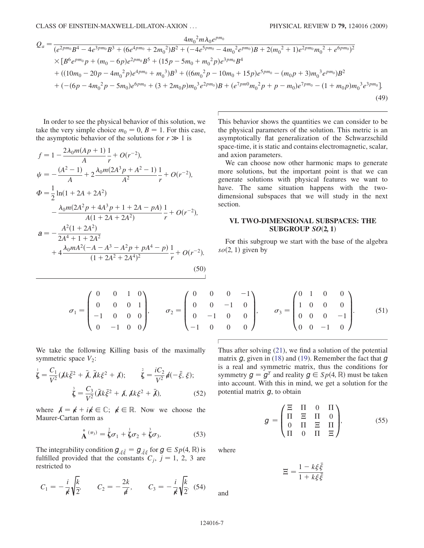$$
Q_{a} = \frac{4m_{0}^{2}m_{0}e^{pm_{0}}}{(e^{2pm_{0}}B^{4} - 4e^{3pm_{0}B^{3}} + (6e^{4pm_{0}} + 2m_{0}^{2})B^{2} + (-4e^{5pm_{0}} - 4m_{0}^{2}e^{pm_{0}})B + 2(m_{0}^{2} + 1)e^{2pm_{0}}m_{0}^{2} + e^{6pm_{0}})^{2}}
$$
  
×[ $B^{6}e^{pm_{0}}p + (m_{0} - 6p)e^{2pm_{0}}B^{5} + (15p - 5m_{0} + m_{0}^{2}p)e^{3pm_{0}}B^{4}$   
+((10m\_{0} - 20p - 4m\_{0}^{2}p)e^{4pm\_{0}} + m\_{0}^{3})B^{3} + ((6m\_{0}^{2}p - 10m\_{0} + 15p)e^{5pm\_{0}} - (m\_{0}p + 3)m\_{0}^{3}e^{pm\_{0}})B^{2}  
+(-(6p - 4m\_{0}^{2}p - 5m\_{0})e^{6pm\_{0}} + (3 + 2m\_{0}p)m\_{0}^{3}e^{2pm\_{0}})B + (e^{7pm\_{0}}m\_{0}^{2}p + p - m\_{0})e^{7pm\_{0}} - (1 + m\_{0}p)m\_{0}^{3}e^{3pm\_{0}}].\n(49)

In order to see the physical behavior of this solution, we take the very simple choice  $m_0 = 0$ ,  $B = 1$ . For this case, the asymptotic behavior of the solutions for  $r \gg 1$  is

$$
f = 1 - \frac{2\lambda_0 m (Ap + 1)}{A} \frac{1}{r} + O(r^{-2}),
$$
  
\n
$$
\psi = -\frac{(A^2 - 1)}{A} + 2\frac{\lambda_0 m (2A^3 p + A^2 - 1)}{A^2} \frac{1}{r} + O(r^{-2}),
$$
  
\n
$$
\Phi = \frac{1}{2} \ln(1 + 2A + 2A^2)
$$
  
\n
$$
- \frac{\lambda_0 m (2A^2 p + 4A^3 p + 1 + 2A - pA)}{A(1 + 2A + 2A^2)} \frac{1}{r} + O(r^{-2}),
$$
  
\n
$$
a = -\frac{A^2 (1 + 2A^2)}{2A^4 + 1 + 2A^2}
$$
  
\n
$$
+ 4\frac{\lambda_0 m A^2 (-A - A^3 - A^2 p + pA^4 - p)}{(1 + 2A^2 + 2A^4)^2} \frac{1}{r} + O(r^{-2}).
$$
  
\n(50)

This behavior shows the quantities we can consider to be the physical parameters of the solution. This metric is an asymptotically flat generalization of the Schwarzschild space-time, it is static and contains electromagnetic, scalar, and axion parameters.

We can choose now other harmonic maps to generate more solutions, but the important point is that we can generate solutions with physical features we want to have. The same situation happens with the twodimensional subspaces that we will study in the next section.

## VI. TWO-DIMENSIONAL SUBSPACES: THE SUBGROUP  $SO(2, 1)$

For this subgroup we start with the base of the algebra  $so(2, 1)$  given by

 $\sigma_1 =$ 0 0 10 0 0 01  $\begin{bmatrix} -1 & 0 & 0 & 0 \\ 0 & 0 & 0 & 0 \\ 0 & 0 & 0 & 0 \\ 0 & 0 & 0 & 0 \\ 0 & 0 & 0 & 0 \\ 0 & 0 & 0 & 0 \\ 0 & 0 & 0 & 0 \\ 0 & 0 & 0 & 0 \\ 0 & 0 & 0 & 0 \\ 0 & 0 & 0 & 0 \\ 0 & 0 & 0 & 0 \\ 0 & 0 & 0 & 0 & 0 \\ 0 & 0 & 0 & 0 & 0 \\ 0 & 0 & 0 & 0 & 0 \\ 0 & 0 & 0 & 0 & 0 & 0 \\ 0 & 0 & 0 & 0 & 0 & 0 \\$  $0 \t -1 \t 0 \t 0$  $\sqrt{2}$  $\overline{\phantom{a}}$  $\setminus$  $\sigma_2 =$  $\begin{array}{ccccccccc}\n0 & 0 & 0 & -1 \\
\end{array}$  $\sqrt{2}$  $\overline{\phantom{a}}$ 

We take the following Killing basis of the maximally symmetric space  $V_2$ :

$$
\dot{\vec{\zeta}} = \frac{C_1}{V^2} (\chi k \bar{\xi}^2 + \bar{\lambda}, \bar{\chi} k \xi^2 + \chi); \qquad \dot{\vec{\zeta}} = \frac{i C_2}{V^2} \phi(-\bar{\xi}, \xi); \n\dot{\vec{\zeta}} = \frac{C_3}{V^2} (\bar{\chi} k \bar{\xi}^2 + \chi, \chi k \xi^2 + \bar{\chi}),
$$
\n(52)

where  $\lambda = k + i k \in \mathbb{C}$ ;  $k \in \mathbb{R}$ . Now we choose the Maurer-Cartan form as

A <sup>ð</sup>3<sup>Þ</sup> ¼ 2 -<sup>1</sup> <sup>þ</sup> 1 -<sup>2</sup> <sup>þ</sup> 3 -<sup>3</sup>: (53)

The integrability condition  $g_{\xi\xi} = g_{\xi\xi}$  for  $g \in Sp(4, \mathbb{R})$  is fulfilled provided that the constants  $C_i$ ,  $i = 1, 2, 3$  are  $\bar{\xi} = g_{,\bar{\xi}\bar{\xi}}$ nstants fulfilled provided that the constants  $C_j$ ,  $j = 1, 2, 3$  are restricted to restricted to

$$
C_1 = -\frac{i}{\cancel{K}}\sqrt{\frac{k}{2}}, \qquad C_2 = -\frac{2k}{\cancel{d}}, \qquad C_3 = -\frac{i}{\cancel{K}}\sqrt{\frac{k}{2}}.
$$
 (54)

 $0 \t 0 \t -1 \t 0$  $0 \t -1 \t 0 \t 0$ 10 0 0  $\sigma_3 =$ 10 0 0  $0 \t 0 \t -1$  $0 \quad 0 \quad -1 \quad 0$  $\overline{\mathcal{B}}$  $\begin{array}{c} \hline \end{array}$  $(51)$ 

 $\sqrt{2}$ 

01 0 0

 $\setminus$ 

 $\setminus$ 

Thus after solving [\(21\)](#page-2-3), we find a solution of the potential matrix  $q$ , given in [\(18\)](#page-2-4) and ([19](#page-2-5)). Remember the fact that  $q$ is a real and symmetric matrix, thus the conditions for symmetry  $g = g<sup>T</sup>$  and reality  $g \in Sp(4, \mathbb{R})$  must be taken into account. With this in mind, we get a solution for the potential matrix  $g$ , to obtain

$$
g = \begin{pmatrix} \Xi & \Pi & 0 & \Pi \\ \Pi & \Xi & \Pi & 0 \\ 0 & \Pi & \Xi & \Pi \\ \Pi & 0 & \Pi & \Xi \end{pmatrix},
$$
(55)

<span id="page-6-0"></span>where

$$
\Xi = \frac{1 - k\xi\bar{\xi}}{1 + k\xi\bar{\xi}}
$$

and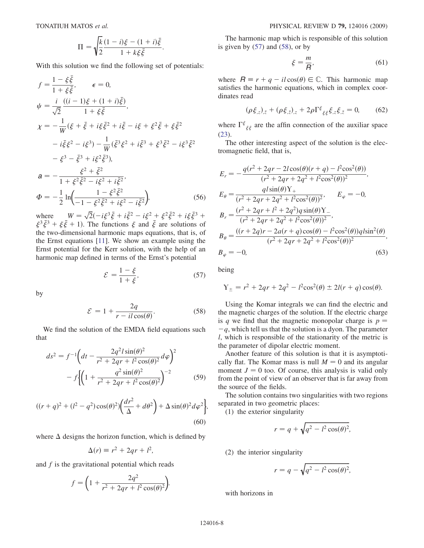$$
\Pi = \sqrt{\frac{k}{2}} \frac{(1-i)\xi - (1+i)\bar{\xi}}{1 + k\xi \bar{\xi}}.
$$

With this solution we find the following set of potentials:

$$
f = \frac{1 - \xi \bar{\xi}}{1 + \xi \bar{\xi}}, \quad \epsilon = 0,
$$
  
\n
$$
\psi = \frac{i}{\sqrt{2}} \frac{((i - 1)\xi + (1 + i)\bar{\xi})}{1 + \xi \bar{\xi}},
$$
  
\n
$$
\chi = -\frac{1}{W}(\xi + \bar{\xi} + i\xi \bar{\xi}^2 + i\bar{\xi} - i\xi + \xi^2 \bar{\xi} + \xi \bar{\xi}^2 - i\xi^3 - i\xi^2 \xi^2 - i\xi^3) - \frac{1}{W}(\bar{\xi}^3 \xi^2 + i\bar{\xi}^3 + \xi^3 \xi^2 - i\xi^3 \bar{\xi}^2 - \xi^3 - \xi^3 + i\xi^2 \bar{\xi}^3),
$$
  
\n
$$
a = -\frac{\xi^2 + \bar{\xi}^2}{1 + \xi^2 \bar{\xi}^2 - i\xi^2 + i\xi^2},
$$
  
\n
$$
\Phi = -\frac{1}{2} \ln \left( \frac{1 - \xi^2 \bar{\xi}^2}{-1 - \xi^2 \bar{\xi}^2 + i\xi^2 - i\xi^2} \right),
$$
 (56)

where  $W = \sqrt{2}(-i\xi^3 \bar{\xi} + i\xi^2 - i\xi^2 + \xi^2 \bar{\xi}^2 + i\xi \bar{\xi}^3 + \xi^3 \bar{\xi}^3 + \xi \bar{\xi}^2 + 1)$ . The functions  $\xi$  and  $\bar{\xi}$  are solutions of the two-dimensional harmonic mans equations that is of  $\sqrt{2}(-i\xi^3 \bar{\xi} + i\xi^2 - i\xi^2 + \xi^2 \bar{\xi}^2 + i\xi \bar{\xi}^3)$ <br>The functions  $\xi$  and  $\bar{\xi}$  are solutions the two-dimensional harmonic maps equations, that is, of the Ernst equations [[11](#page-11-5)]. We show an example using the Ernst potential for the Kerr solution, with the help of an harmonic map defined in terms of the Ernst's potential

$$
\mathcal{E} = \frac{1 - \xi}{1 + \xi},\tag{57}
$$

<span id="page-7-1"></span><span id="page-7-0"></span>by

$$
\mathcal{E} = 1 + \frac{2q}{r - il\cos(\theta)}.\tag{58}
$$

We find the solution of the EMDA field equations such that

$$
ds^{2} = f^{-1} \left( dt - \frac{2q^{2}l\sin(\theta)^{2}}{r^{2} + 2qr + l^{2}\cos(\theta)^{2}} d\varphi \right)^{2}
$$

$$
- f \left\{ \left( 1 + \frac{q^{2}\sin(\theta)^{2}}{r^{2} + 2qr + l^{2}\cos(\theta)^{2}} \right)^{-2} \right\} \tag{59}
$$

$$
((r+q)^2 + (l^2 - q^2)\cos(\theta)^2)\left(\frac{dr^2}{\Delta} + d\theta^2\right) + \Delta\sin(\theta)^2d\varphi^2\bigg\},\tag{60}
$$

where  $\Delta$  designs the horizon function, which is defined by

$$
\Delta(r) \equiv r^2 + 2qr + l^2,
$$

and  $f$  is the gravitational potential which reads

$$
f = \left(1 + \frac{2q^2}{r^2 + 2qr + l^2\cos(\theta)^2}\right).
$$

The harmonic map which is responsible of this solution is given by  $(57)$  $(57)$  $(57)$  and  $(58)$  $(58)$  $(58)$ , or by

$$
\xi = \frac{m}{R},\tag{61}
$$

where  $R \equiv r + q - il\cos(\theta) \in \mathbb{C}$ . This harmonic map<br>satisfies the harmonic equations, which in complex coorsatisfies the harmonic equations, which in complex coordinates read

$$
(\rho \xi_{,z})_{,\bar{z}} + (\rho \xi_{,\bar{z}})_{,z} + 2\rho \Gamma^{\xi}{}_{\xi\xi} \xi_{,z} \xi_{,\bar{z}} = 0, \qquad (62)
$$

where  $\Gamma^{\xi}{}_{\xi\xi}$  are the affin connection of the auxiliar space [\(23\)](#page-2-6).

The other interesting aspect of the solution is the electromagnetic field, that is,

$$
E_r = -\frac{q(r^2 + 2qr - 2l\cos(\theta)(r + q) - l^2\cos^2(\theta))}{(r^2 + 2qr + 2q^2 + l^2\cos^2(\theta))^2},
$$
  
\n
$$
E_{\theta} = \frac{q l\sin(\theta) Y_+}{(r^2 + 2qr + 2q^2 + l^2\cos^2(\theta))^2}, \qquad E_{\varphi} = -0,
$$
  
\n
$$
B_r = \frac{(r^2 + 2qr + l^2 + 2q^2)q \sin(\theta) Y_-}{(r^2 + 2qr + 2q^2 + l^2\cos^2(\theta))^2},
$$
  
\n
$$
B_{\theta} = \frac{((r + 2q)r - 2a(r + q)\cos(\theta) - l^2\cos^2(\theta))q l\sin^2(\theta)}{(r^2 + 2qr + 2q^2 + l^2\cos^2(\theta))^2},
$$
  
\n
$$
B_{\varphi} = -0,
$$
  
\n(63)

being

$$
Y_{\pm} = r^2 + 2qr + 2q^2 - l^2 \cos^2(\theta) \pm 2l(r+q)\cos(\theta).
$$

Using the Komar integrals we can find the electric and the magnetic charges of the solution. If the electric charge is q we find that the magnetic monopolar charge is  $p =$ -l, which is responsible of the stationarity of the metric is  $-q$ , which tell us that the solution is a dyon. The parameter the parameter of dipolar electric moment.

Another feature of this solution is that it is asymptotically flat. The Komar mass is null  $M = 0$  and its angular moment  $J = 0$  too. Of course, this analysis is valid only from the point of view of an observer that is far away from the source of the fields.

The solution contains two singularities with two regions separated in two geometric places:

(1) the exterior singularity

$$
r = q + \sqrt{q^2 - l^2 \cos(\theta)^2},
$$

(2) the interior singularity

$$
r = q - \sqrt{q^2 - l^2 \cos(\theta)^2},
$$

with horizons in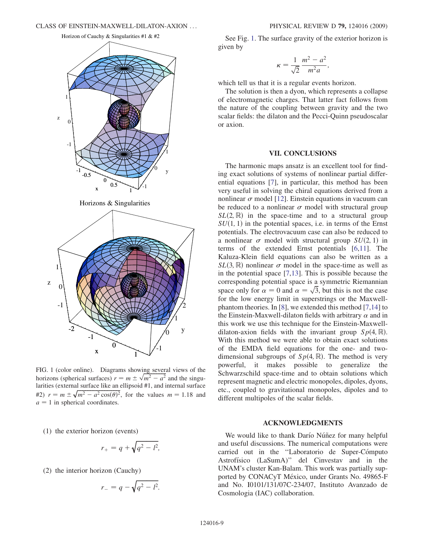<span id="page-8-0"></span>



FIG. 1 (color online). Diagrams showing several views of the horizons (spherical surfaces)  $r = m \pm \sqrt{m^2 - a^2}$  and the singu-<br>larities (external surface like an ellipsoid #1, and internal surface larities (external surface like an ellipsoid #1, and internal surface #2)  $r = m \pm \sqrt{m^2 - a^2 \cos(\theta)^2}$ , for the values  $m = 1.18$  and  $a = 1$  in spherical coordinates  $a = 1$  in spherical coordinates.

(1) the exterior horizon (events)

$$
r_+ = q + \sqrt{q^2 - l^2},
$$

(2) the interior horizon (Cauchy)

$$
r_{-}=q-\sqrt{q^2-l^2}.
$$

See Fig. [1.](#page-8-0) The surface gravity of the exterior horizon is given by

$$
\kappa = \frac{1}{\sqrt{2}} \frac{m^2 - a^2}{m^2 a},
$$

which tell us that it is a regular events horizon.

The solution is then a dyon, which represents a collapse of electromagnetic charges. That latter fact follows from the nature of the coupling between gravity and the two scalar fields: the dilaton and the Pecci-Quinn pseudoscalar or axion.

### VII. CONCLUSIONS

The harmonic maps ansatz is an excellent tool for finding exact solutions of systems of nonlinear partial differential equations [[7](#page-11-1)], in particular, this method has been very useful in solving the chiral equations derived from a nonlinear  $\sigma$  model [[12](#page-11-6)]. Einstein equations in vacuum can be reduced to a nonlinear  $\sigma$  model with structural group  $SL(2,\mathbb{R})$  in the space-time and to a structural group  $SU(1, 1)$  in the potential spaces, i.e. in terms of the Ernst potentials. The electrovacuum case can also be reduced to a nonlinear  $\sigma$  model with structural group  $SU(2, 1)$  in<br>terms of the extended Ernst potentials [6.11]. The terms of the extended Ernst potentials [\[6,](#page-11-0)[11\]](#page-11-5). The Kaluza-Klein field equations can also be written as a  $SL(3, \mathbb{R})$  nonlinear  $\sigma$  model in the space-time as well as in the potential space [7, 13]. This is possible because the in the potential space [[7](#page-11-1),[13](#page-11-7)]. This is possible because the corresponding potential space is a symmetric Riemannian space only for  $\alpha = 0$  and  $\alpha = \sqrt{3}$ , but this is not the case<br>for the low energy limit in superstrings or the Maxwellfor the low energy limit in superstrings or the Maxwellphantom theories. In [\[8](#page-11-2)], we extended this method [\[7](#page-11-1),[14](#page-11-8)] to the Einstein-Maxwell-dilaton fields with arbitrary  $\alpha$  and in this work we use this technique for the Einstein-Maxwelldilaton-axion fields with the invariant group  $Sp(4, \mathbb{R})$ . With this method we were able to obtain exact solutions of the EMDA field equations for the one- and twodimensional subgroups of  $Sp(4, \mathbb{R})$ . The method is very powerful, it makes possible to generalize the Schwarzschild space-time and to obtain solutions which represent magnetic and electric monopoles, dipoles, dyons, etc., coupled to gravitational monopoles, dipoles and to different multipoles of the scalar fields.

## ACKNOWLEDGMENTS

We would like to thank Darío Núñez for many helpful and useful discussions. The numerical computations were carried out in the "Laboratorio de Super-Cómputo Astrofísico (LaSumA)" del Cinvestav and in the UNAM's cluster Kan-Balam. This work was partially supported by CONACyT México, under Grants No. 49865-F and No. I0101/131/07C-234/07, Instituto Avanzado de Cosmologia (IAC) collaboration.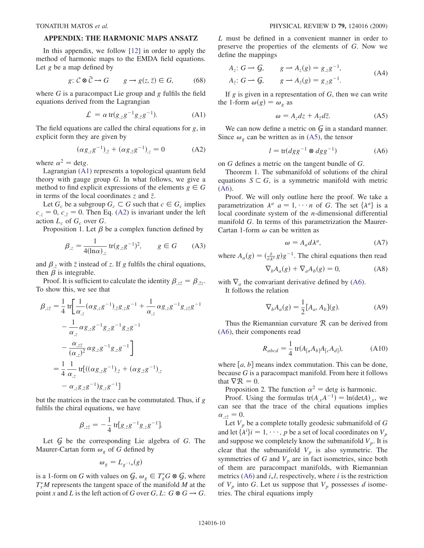## APPENDIX: THE HARMONIC MAPS ANSATZ

In this appendix, we follow [\[12\]](#page-11-6) in order to apply the method of harmonic maps to the EMDA field equations. Let  $g$  be a map defined by

$$
g: \mathcal{C} \otimes \bar{\mathcal{C}} \to G \qquad g \to g(z, \bar{z}) \in G, \tag{68}
$$

<span id="page-9-0"></span>where  $G$  is a paracompact Lie group and  $g$  fulfils the field equations derived from the Lagrangian

$$
\mathcal{L} = \alpha \operatorname{tr}(g_{,z}g^{-1}g_{,\bar{z}}g^{-1}). \tag{A1}
$$

<span id="page-9-1"></span>The field equations are called the chiral equations for  $g$ , in explicit form they are given by

$$
(\alpha g_{,z}g^{-1})_{,\bar{z}} + (\alpha g_{,\bar{z}}g^{-1})_{,z} = 0 \tag{A2}
$$

where  $\alpha^2$  = detg.

Lagrangian ([A1](#page-9-0)) represents a topological quantum field theory with gauge group  $G$ . In what follows, we give a method to find explicit expressions of the elements  $g \in G$ in terms of the local coordinates  $z$  and  $\bar{z}$ .

Let  $G_c$  be a subgroup  $G_c \subset G$  such that  $c \in G_c$  implies  $c_{z} = 0$ ,  $c_{z} = 0$ . Then Eq. [\(A2\)](#page-9-1) is invariant under the left action  $I_{\text{tot}}$  of  $G_{\text{tot}}$  over  $G$ action  $L_c$  of  $G_c$  over  $G$ .

Proposition 1. Let  $\beta$  be a complex function defined by

$$
\beta_{,z} = \frac{1}{4(\ln \alpha)_{,z}} \operatorname{tr}(g_{,z}g^{-1})^2, \qquad g \in G \qquad (A3)
$$

and  $\beta_{\bar{z}}$  with  $\bar{z}$  instead of z. If g fulfils the chiral equations, then  $\beta$  is integrable.

Proof. It is sufficient to calculate the identity  $\beta_{z\bar{z}} = \beta_{\bar{z}z}$ .<br>show this, we see that To show this, we see that

$$
\beta_{,z\bar{z}} = \frac{1}{4} \operatorname{tr} \left[ \frac{1}{\alpha_{,z}} (\alpha g_{,z} g^{-1})_{,\bar{z}} g_{,z} g^{-1} + \frac{1}{\alpha_{,z}} \alpha g_{,z} g^{-1} g_{,z\bar{z}} g^{-1} - \frac{1}{\alpha_{,z}} \alpha g_{,z} g^{-1} g_{,z} g^{-1} g_{,\bar{z}} g^{-1} - \frac{\alpha_{,z\bar{z}}}{(\alpha_{,z})^2} \alpha g_{,z} g^{-1} g_{,z} g^{-1} \right]
$$
  
= 
$$
\frac{1}{4} \frac{1}{\alpha_{,z}} \operatorname{tr} [((\alpha g_{,z} g^{-1})_{,\bar{z}} + (\alpha g_{,\bar{z}} g^{-1})_{,z} - \alpha_{,z} g_{,\bar{z}} g^{-1}) g_{,z} g^{-1}]
$$

but the matrices in the trace can be commutated. Thus, if g fulfils the chiral equations, we have

$$
\beta_{,z\bar{z}} = -\frac{1}{4} \operatorname{tr}[g_{,\bar{z}}g^{-1}g_{,z}g^{-1}].
$$

Let  $G$  be the corresponding Lie algebra of  $G$ . The Maurer-Cartan form  $\omega_{g}$  of G defined by

$$
\omega_g=L_{g^{-1}*}(g)
$$

is a 1-form on G with values on  $G, \omega_g \in T_g^*G \otimes G$ , where  $T^*M$  represents the tangent space of the manifold M at the  $T_x^*M$  represents the tangent space of the manifold M at the point x and L is the left action of G over G, L:  $G \otimes G \rightarrow G$ . L must be defined in a convenient manner in order to preserve the properties of the elements of G. Now we define the mappings

$$
A_z: G \to G, \t g \to A_z(g) = g_{,z}g^{-1},
$$
  
\n
$$
A_{\bar{z}}: G \to G, \t g \to A_{\bar{z}}(g) = g_{,\bar{z}}g^{-1}.
$$
\n(A4)

<span id="page-9-2"></span>If g is given in a representation of  $G$ , then we can write the 1-form  $\omega(g) = \omega_g$  as

$$
\omega = A_z dz + A_{\bar{z}} d\bar{z}.
$$
 (A5)

<span id="page-9-3"></span>We can now define a metric on  $G$  in a standard manner. Since  $\omega_{\rho}$  can be written as in [\(A5](#page-9-2)), the tensor

$$
l = \text{tr}(dgg^{-1} \otimes dgg^{-1})
$$
 (A6)

on G defines a metric on the tangent bundle of G.

Theorem 1. The submanifold of solutions of the chiral equations  $S \subset G$ , is a symmetric manifold with metric [\(A6](#page-9-3)).

Proof. We will only outline here the proof. We take a parametrization  $\lambda^a$   $a = 1, \dots n$  of G. The set  $\{\lambda^a\}$  is a local coordinate system of the n-dimensional differential manifold G. In terms of this parametrization the Maurer-Cartan 1-form  $\omega$  can be written as

$$
\omega = A_a d\lambda^a, \tag{A7}
$$

where  $A_a(g) = \left(\frac{\partial}{\partial \lambda^a} g\right) g^{-1}$ . The chiral equations then read

$$
\nabla_b A_a(g) + \nabla_a A_b(g) = 0,\tag{A8}
$$

with  $\nabla_a$  the convariant derivative defined by ([A6\)](#page-9-3).

It follows the relation

$$
\nabla_b A_a(g) = \frac{1}{2} [A_a, A_b](g). \tag{A9}
$$

Thus the Riemannian curvature  $R$  can be derived from [\(A6](#page-9-3)), their components read

$$
R_{abcd} = \frac{1}{4} \text{ tr}(A_{[a}A_{b]}A_{[c}A_{d]}),
$$
 (A10)

where  $[a, b]$  means index commutation. This can be done, because G is a paracompact manifold. From here it follows that  $\nabla \mathcal{R} = 0$ .

Proposition 2. The function  $\alpha^2$  = detg is harmonic.

Proof. Using the formulas  $tr(A_{,x}A^{-1}) = ln(detA)_{,x}$ , we can see that the trace of the chiral equations implies  $\alpha_{z\bar{z}} = 0.$ <br>Let V

Let  $V_p$  be a complete totally geodesic submanifold of  $G$ and let  $\{\lambda^i\}$  $i = 1, \dots, p$  be a set of local coordinates on  $V_p$ <br>and suppose we completely know the submanifold V. and suppose we completely know the submanifold  $V_p$ . It is clear that the submanifold  $V_p$  is also symmetric. The symmetries of G and  $V_p$  are in fact isometries, since both of them are paracompact manifolds, with Riemannian metrics ([A6\)](#page-9-3) and  $i_*l$ , respectively, where i is the restriction of  $V_p$  into G. Let us suppose that  $V_p$  possesses d isometries. The chiral equations imply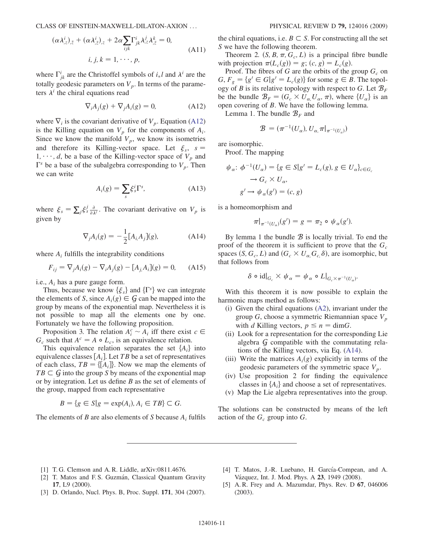$$
(\alpha \lambda_{,z}^{i})_{,\bar{z}} + (\alpha \lambda_{,\bar{z}}^{i})_{,z} + 2\alpha \sum_{ijk} \Gamma_{jk}^{i} \lambda_{,z}^{j} \lambda_{,\bar{z}}^{k} = 0,
$$
  
\n*i, j, k = 1, \cdots, p,* (A11)

<span id="page-10-5"></span>where  $\Gamma_{jk}^i$  are the Christoffel symbols of  $i_*l$  and  $\lambda^i$  are the theorems. totally geodesic parameters on  $V_p$ . In terms of the parameters  $\lambda^{i}$  the chiral equations read

$$
\nabla_i A_j(g) + \nabla_j A_i(g) = 0,
$$
 (A12)

where  $\nabla_i$  is the covariant derivative of  $V_p$ . Equation ([A12\)](#page-10-5) is the Killing equation on  $V_p$  for the components of  $A_i$ . Since we know the manifold  $V_p$ , we know its isometries and therefore its Killing-vector space. Let  $\xi_s$ , s =  $1, \dots, d$ , be a base of the Killing-vector space of  $V_p$  and  $\Gamma<sup>s</sup>$  be a base of the subalgebra corresponding to  $V_p$ . Then we can write

$$
A_i(g) = \sum_s \xi_s^i \Gamma^s, \tag{A13}
$$

<span id="page-10-6"></span>where  $\xi_s = \sum_j \xi_s^j \frac{\partial}{\partial \lambda^j}$ . The covariant derivative on  $V_p$  is given by given by

$$
\nabla_j A_i(g) = -\frac{1}{2} [A_i A_j](g), \qquad (A14)
$$

where  $A_i$  fulfills the integrability conditions

$$
F_{ij} = \nabla_j A_i(g) - \nabla_i A_j(g) - [A_j, A_i](g) = 0,
$$
 (A15)

i.e.,  $A_i$  has a pure gauge form.

Thus, because we know  $\{\xi_s\}$  and  $\{\Gamma^s\}$  we can integrate the elements of S, since  $A_i(g) \in \mathcal{G}$  can be mapped into the group by means of the exponential map. Nevertheless it is not possible to map all the elements one by one. Fortunately we have the following proposition.

Proposition 3. The relation  $A_i^c \sim A_i$  iff there exist  $c \in$  such that  $A^c = A \circ I$  is an equivalence relation  $G_c$  such that  $A<sup>c</sup> = A \circ L_c$ , is an equivalence relation.

This equivalence relation separates the set  ${A_i}$  into equivalence classes  $[A_i]$ . Let TB be a set of representatives of each class,  $TB = \{\pmb{[}A_i\pmb{]}\}\$ . Now we map the elements of  $TB \subset \mathcal{G}$  into the group S by means of the exponential map or by integration. Let us define B as the set of elements of the group, mapped from each representative

$$
B = \{ g \in S | g = \exp(A_i), A_i \in TB \} \subset G.
$$

The elements of B are also elements of S because  $A_i$  fulfils

the chiral equations, i.e.  $B \subset S$ . For constructing all the set S we have the following theorem.

Theorem 2.  $(S, B, \pi, G_c, L)$  is a principal fibre bundle with projection  $\pi(L_c(g)) = g$ ;  $(c, g) = L_c(g)$ .

Proof. The fibres of G are the orbits of the group  $G_c$  on  $G, F_g = \{g' \in G | g' = L_c(g)\}\$ for some  $g \in B$ . The topology of B is its relative topology with respect to G. Let  $\mathcal{B}_F$ be the bundle  $\mathcal{B}_F = (G_c \times U_\alpha, U_\alpha, \pi)$ , where  $\{U_\alpha\}$  is an open covering of B. We have the following lemma.

Lemma 1. The bundle  $B_F$  and

$$
\mathcal{B} = (\pi^{-1}(U_{\alpha}), U_{\alpha}, \pi|_{\pi^{-1}(U_{\alpha})})
$$

are isomorphic.

Proof. The mapping

$$
\psi_{\alpha}: \phi^{-1}(U_{\alpha}) = \{g \in S | g' = L_{c}(g), g \in U_{\alpha}\}_{c \in G_{c}}
$$

$$
\rightarrow G_{c} \times U_{\alpha},
$$

$$
g' \rightarrow \psi_{\alpha}(g') = (c, g)
$$

is a homeomorphism and

$$
\pi|_{\pi^{-1}(U_{\alpha})}(g')=g=\pi_2\circ\psi_{\alpha}(g').
$$

By lemma 1 the bundle  $\mathcal B$  is locally trivial. To end the proof of the theorem it is sufficient to prove that the  $G_c$ spaces  $(S, G_c, L)$  and  $(G_c \times U_{\alpha}, G_c, \delta)$ , are isomorphic, but that follows from

$$
\delta \circ \mathrm{id}|_{G_c} \times \psi_\alpha = \psi_\alpha \circ L|_{G_c \times \pi^{-1}(U_\alpha)}.
$$

With this theorem it is now possible to explain the harmonic maps method as follows:

- (i) Given the chiral equations ([A2](#page-9-1)), invariant under the group G, choose a symmetric Riemannian space  $V_p$ with d Killing vectors,  $p \le n = \text{dim}G$ .
- (ii) Look for a representation for the corresponding Lie algebra  $G$  compatible with the commutating relations of the Killing vectors, via Eq. ([A14\)](#page-10-6).
- (iii) Write the matrices  $A_i(g)$  explicitly in terms of the geodesic parameters of the symmetric space  $V_p$ .
- (iv) Use proposition 2 for finding the equivalence classes in  $\{A_i\}$  and choose a set of representatives.
- (v) Map the Lie algebra representatives into the group.

The solutions can be constructed by means of the left action of the  $G_c$  group into  $G$ .

- <span id="page-10-1"></span><span id="page-10-0"></span>[1] T. G. Clemson and A. R. Liddle, arXiv:0811.4676.
- <span id="page-10-2"></span>[2] T. Matos and F.S. Guzmán, Classical Quantum Gravity 17, L9 (2000).
- [3] D. Orlando, Nucl. Phys. B, Proc. Suppl. 171, 304 (2007).
- <span id="page-10-4"></span><span id="page-10-3"></span>[4] T. Matos, J.-R. Luebano, H. García-Compean, and A. Vázquez, Int. J. Mod. Phys. A 23, 1949 (2008).
- [5] A. R. Frey and A. Mazumdar, Phys. Rev. D 67, 046006 (2003).